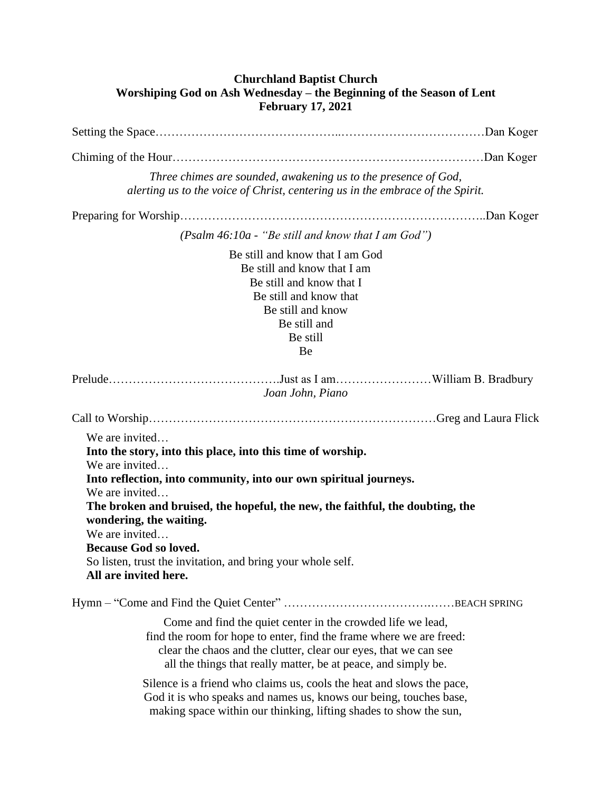# **Churchland Baptist Church Worshiping God on Ash Wednesday – the Beginning of the Season of Lent February 17, 2021**

Setting the Space………………………………………..………………………………Dan Koger Chiming of the Hour……………………………………………………………………Dan Koger *Three chimes are sounded, awakening us to the presence of God, alerting us to the voice of Christ, centering us in the embrace of the Spirit.* Preparing for Worship…………………………………………………………………..Dan Koger *(Psalm 46:10a - "Be still and know that I am God")* Be still and know that I am God Be still and know that I am Be still and know that I Be still and know that Be still and know Be still and Be still Be Prelude…………………………………….Just as I am……………………William B. Bradbury *Joan John, Piano* Call to Worship………………………………………………………………Greg and Laura Flick We are invited… **Into the story, into this place, into this time of worship.**  We are invited… **Into reflection, into community, into our own spiritual journeys.**  We are invited… **The broken and bruised, the hopeful, the new, the faithful, the doubting, the wondering, the waiting.** We are invited… **Because God so loved.** So listen, trust the invitation, and bring your whole self. **All are invited here.**  Hymn – "Come and Find the Quiet Center" ……………………………….……BEACH SPRING Come and find the quiet center in the crowded life we lead, find the room for hope to enter, find the frame where we are freed: clear the chaos and the clutter, clear our eyes, that we can see all the things that really matter, be at peace, and simply be. Silence is a friend who claims us, cools the heat and slows the pace, God it is who speaks and names us, knows our being, touches base, making space within our thinking, lifting shades to show the sun,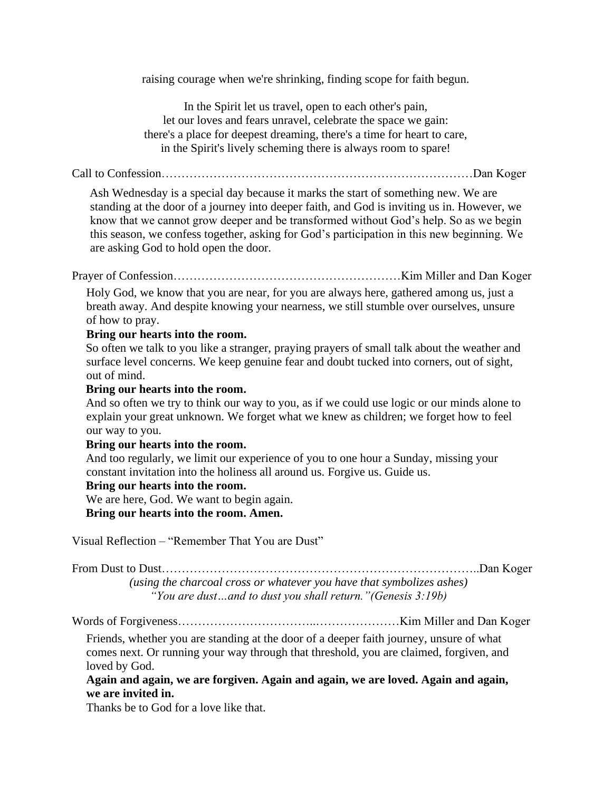raising courage when we're shrinking, finding scope for faith begun.

In the Spirit let us travel, open to each other's pain, let our loves and fears unravel, celebrate the space we gain: there's a place for deepest dreaming, there's a time for heart to care, in the Spirit's lively scheming there is always room to spare!

Call to Confession……………………………………………………………………Dan Koger

Ash Wednesday is a special day because it marks the start of something new. We are standing at the door of a journey into deeper faith, and God is inviting us in. However, we know that we cannot grow deeper and be transformed without God's help. So as we begin this season, we confess together, asking for God's participation in this new beginning. We are asking God to hold open the door.

Prayer of Confession…………………………………………………Kim Miller and Dan Koger

Holy God, we know that you are near, for you are always here, gathered among us, just a breath away. And despite knowing your nearness, we still stumble over ourselves, unsure of how to pray.

## **Bring our hearts into the room.**

So often we talk to you like a stranger, praying prayers of small talk about the weather and surface level concerns. We keep genuine fear and doubt tucked into corners, out of sight, out of mind.

#### **Bring our hearts into the room.**

And so often we try to think our way to you, as if we could use logic or our minds alone to explain your great unknown. We forget what we knew as children; we forget how to feel our way to you.

## **Bring our hearts into the room.**

And too regularly, we limit our experience of you to one hour a Sunday, missing your constant invitation into the holiness all around us. Forgive us. Guide us.

## **Bring our hearts into the room.**

We are here, God. We want to begin again.

#### **Bring our hearts into the room. Amen.**

Visual Reflection – "Remember That You are Dust"

From Dust to Dust……………………………………………………………………..Dan Koger *(using the charcoal cross or whatever you have that symbolizes ashes) "You are dust…and to dust you shall return."(Genesis 3:19b)*

Words of Forgiveness……………………………..…………………Kim Miller and Dan Koger

Friends, whether you are standing at the door of a deeper faith journey, unsure of what comes next. Or running your way through that threshold, you are claimed, forgiven, and loved by God.

## **Again and again, we are forgiven. Again and again, we are loved. Again and again, we are invited in.**

Thanks be to God for a love like that.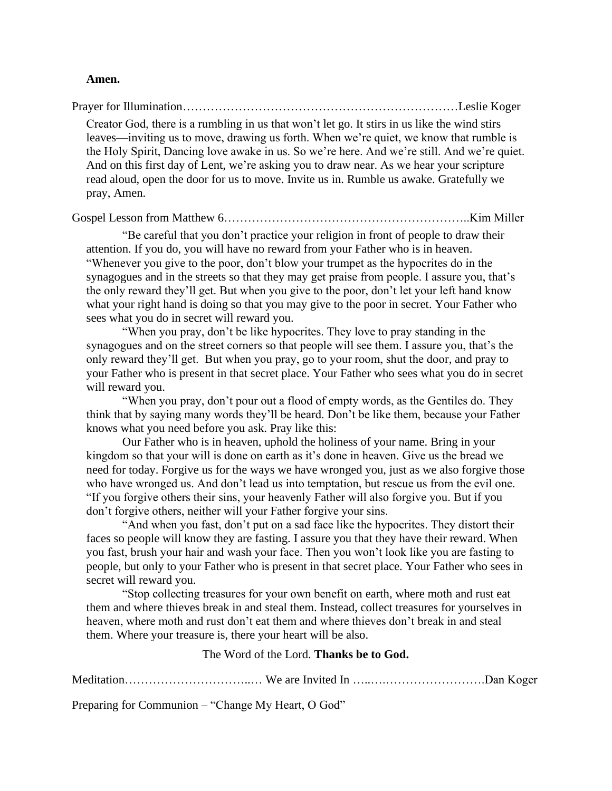#### **Amen.**

Prayer for Illumination……………………………………………………………Leslie Koger

Creator God, there is a rumbling in us that won't let go. It stirs in us like the wind stirs leaves—inviting us to move, drawing us forth. When we're quiet, we know that rumble is the Holy Spirit, Dancing love awake in us. So we're here. And we're still. And we're quiet. And on this first day of Lent, we're asking you to draw near. As we hear your scripture read aloud, open the door for us to move. Invite us in. Rumble us awake. Gratefully we pray, Amen.

Gospel Lesson from Matthew 6……………………………………………………..Kim Miller

"Be careful that you don't practice your religion in front of people to draw their attention. If you do, you will have no reward from your Father who is in heaven. "Whenever you give to the poor, don't blow your trumpet as the hypocrites do in the synagogues and in the streets so that they may get praise from people. I assure you, that's the only reward they'll get. But when you give to the poor, don't let your left hand know what your right hand is doing so that you may give to the poor in secret. Your Father who sees what you do in secret will reward you.

"When you pray, don't be like hypocrites. They love to pray standing in the synagogues and on the street corners so that people will see them. I assure you, that's the only reward they'll get. But when you pray, go to your room, shut the door, and pray to your Father who is present in that secret place. Your Father who sees what you do in secret will reward you.

"When you pray, don't pour out a flood of empty words, as the Gentiles do. They think that by saying many words they'll be heard. Don't be like them, because your Father knows what you need before you ask. Pray like this:

Our Father who is in heaven, uphold the holiness of your name. Bring in your kingdom so that your will is done on earth as it's done in heaven. Give us the bread we need for today. Forgive us for the ways we have wronged you, just as we also forgive those who have wronged us. And don't lead us into temptation, but rescue us from the evil one. "If you forgive others their sins, your heavenly Father will also forgive you. But if you don't forgive others, neither will your Father forgive your sins.

"And when you fast, don't put on a sad face like the hypocrites. They distort their faces so people will know they are fasting. I assure you that they have their reward. When you fast, brush your hair and wash your face. Then you won't look like you are fasting to people, but only to your Father who is present in that secret place. Your Father who sees in secret will reward you.

"Stop collecting treasures for your own benefit on earth, where moth and rust eat them and where thieves break in and steal them. Instead, collect treasures for yourselves in heaven, where moth and rust don't eat them and where thieves don't break in and steal them. Where your treasure is, there your heart will be also.

#### The Word of the Lord. **Thanks be to God.**

Meditation…………………………..… We are Invited In …..….…………………….Dan Koger

Preparing for Communion – "Change My Heart, O God"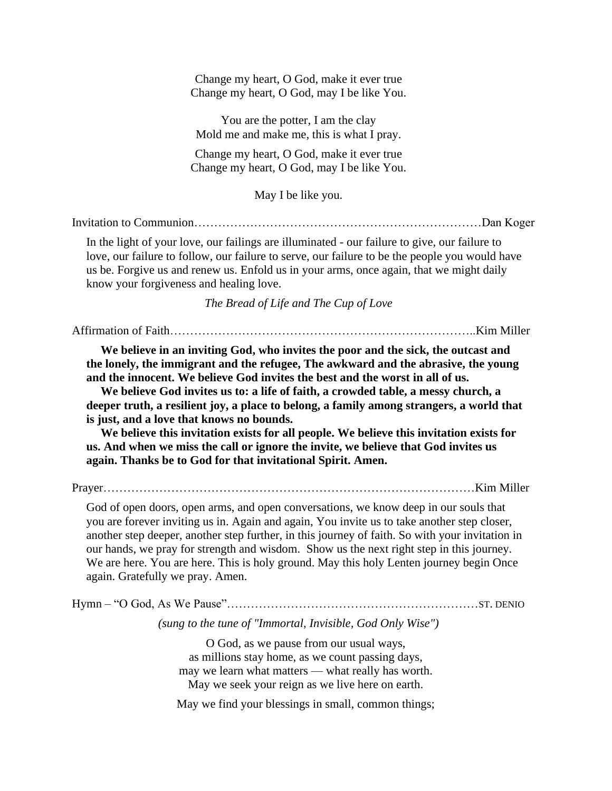Change my heart, O God, make it ever true Change my heart, O God, may I be like You.

You are the potter, I am the clay Mold me and make me, this is what I pray.

Change my heart, O God, make it ever true Change my heart, O God, may I be like You.

May I be like you.

Invitation to Communion………………………………………………………………Dan Koger

In the light of your love, our failings are illuminated - our failure to give, our failure to love, our failure to follow, our failure to serve, our failure to be the people you would have us be. Forgive us and renew us. Enfold us in your arms, once again, that we might daily know your forgiveness and healing love.

*The Bread of Life and The Cup of Love*

Affirmation of Faith…………………………………………………………………..Kim Miller

**We believe in an inviting God, who invites the poor and the sick, the outcast and the lonely, the immigrant and the refugee, The awkward and the abrasive, the young and the innocent. We believe God invites the best and the worst in all of us.** 

**We believe God invites us to: a life of faith, a crowded table, a messy church, a deeper truth, a resilient joy, a place to belong, a family among strangers, a world that is just, and a love that knows no bounds.** 

**We believe this invitation exists for all people. We believe this invitation exists for us. And when we miss the call or ignore the invite, we believe that God invites us again. Thanks be to God for that invitational Spirit. Amen.**

Prayer…………………………………………………………………………………Kim Miller

God of open doors, open arms, and open conversations, we know deep in our souls that you are forever inviting us in. Again and again, You invite us to take another step closer, another step deeper, another step further, in this journey of faith. So with your invitation in our hands, we pray for strength and wisdom. Show us the next right step in this journey. We are here. You are here. This is holy ground. May this holy Lenten journey begin Once again. Gratefully we pray. Amen.

Hymn – "O God, As We Pause"………………………………………………………ST. DENIO

*(sung to the tune of "Immortal, Invisible, God Only Wise")*

O God, as we pause from our usual ways, as millions stay home, as we count passing days, may we learn what matters — what really has worth. May we seek your reign as we live here on earth.

May we find your blessings in small, common things;